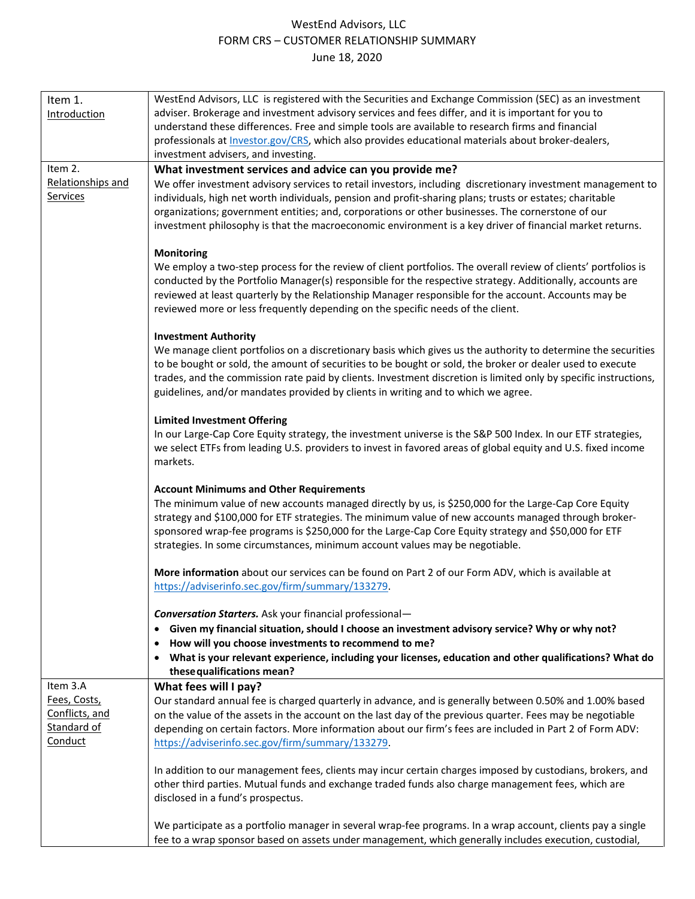# WestEnd Advisors, LLC FORM CRS – CUSTOMER RELATIONSHIP SUMMARY June 18, 2020

| Item 1.             | WestEnd Advisors, LLC is registered with the Securities and Exchange Commission (SEC) as an investment           |
|---------------------|------------------------------------------------------------------------------------------------------------------|
| <b>Introduction</b> | adviser. Brokerage and investment advisory services and fees differ, and it is important for you to              |
|                     | understand these differences. Free and simple tools are available to research firms and financial                |
|                     | professionals at <i>Investor.gov/CRS</i> , which also provides educational materials about broker-dealers,       |
|                     | investment advisers, and investing.                                                                              |
| Item 2.             | What investment services and advice can you provide me?                                                          |
| Relationships and   | We offer investment advisory services to retail investors, including discretionary investment management to      |
| Services            | individuals, high net worth individuals, pension and profit-sharing plans; trusts or estates; charitable         |
|                     | organizations; government entities; and, corporations or other businesses. The cornerstone of our                |
|                     | investment philosophy is that the macroeconomic environment is a key driver of financial market returns.         |
|                     |                                                                                                                  |
|                     | <b>Monitoring</b>                                                                                                |
|                     | We employ a two-step process for the review of client portfolios. The overall review of clients' portfolios is   |
|                     | conducted by the Portfolio Manager(s) responsible for the respective strategy. Additionally, accounts are        |
|                     | reviewed at least quarterly by the Relationship Manager responsible for the account. Accounts may be             |
|                     | reviewed more or less frequently depending on the specific needs of the client.                                  |
|                     |                                                                                                                  |
|                     | <b>Investment Authority</b>                                                                                      |
|                     | We manage client portfolios on a discretionary basis which gives us the authority to determine the securities    |
|                     | to be bought or sold, the amount of securities to be bought or sold, the broker or dealer used to execute        |
|                     | trades, and the commission rate paid by clients. Investment discretion is limited only by specific instructions, |
|                     | guidelines, and/or mandates provided by clients in writing and to which we agree.                                |
|                     | <b>Limited Investment Offering</b>                                                                               |
|                     | In our Large-Cap Core Equity strategy, the investment universe is the S&P 500 Index. In our ETF strategies,      |
|                     | we select ETFs from leading U.S. providers to invest in favored areas of global equity and U.S. fixed income     |
|                     | markets.                                                                                                         |
|                     |                                                                                                                  |
|                     | <b>Account Minimums and Other Requirements</b>                                                                   |
|                     | The minimum value of new accounts managed directly by us, is \$250,000 for the Large-Cap Core Equity             |
|                     | strategy and \$100,000 for ETF strategies. The minimum value of new accounts managed through broker-             |
|                     | sponsored wrap-fee programs is \$250,000 for the Large-Cap Core Equity strategy and \$50,000 for ETF             |
|                     | strategies. In some circumstances, minimum account values may be negotiable.                                     |
|                     |                                                                                                                  |
|                     | More information about our services can be found on Part 2 of our Form ADV, which is available at                |
|                     | https://adviserinfo.sec.gov/firm/summary/133279.                                                                 |
|                     |                                                                                                                  |
|                     | <b>Conversation Starters.</b> Ask your financial professional-                                                   |
|                     | • Given my financial situation, should I choose an investment advisory service? Why or why not?                  |
|                     | • How will you choose investments to recommend to me?                                                            |
|                     | • What is your relevant experience, including your licenses, education and other qualifications? What do         |
|                     | these qualifications mean?                                                                                       |
| Item 3.A            | What fees will I pay?                                                                                            |
| Fees, Costs,        | Our standard annual fee is charged quarterly in advance, and is generally between 0.50% and 1.00% based          |
| Conflicts, and      | on the value of the assets in the account on the last day of the previous quarter. Fees may be negotiable        |
| Standard of         | depending on certain factors. More information about our firm's fees are included in Part 2 of Form ADV:         |
| Conduct             | https://adviserinfo.sec.gov/firm/summary/133279.                                                                 |
|                     | In addition to our management fees, clients may incur certain charges imposed by custodians, brokers, and        |
|                     | other third parties. Mutual funds and exchange traded funds also charge management fees, which are               |
|                     |                                                                                                                  |
|                     | disclosed in a fund's prospectus.                                                                                |
|                     | We participate as a portfolio manager in several wrap-fee programs. In a wrap account, clients pay a single      |
|                     | fee to a wrap sponsor based on assets under management, which generally includes execution, custodial,           |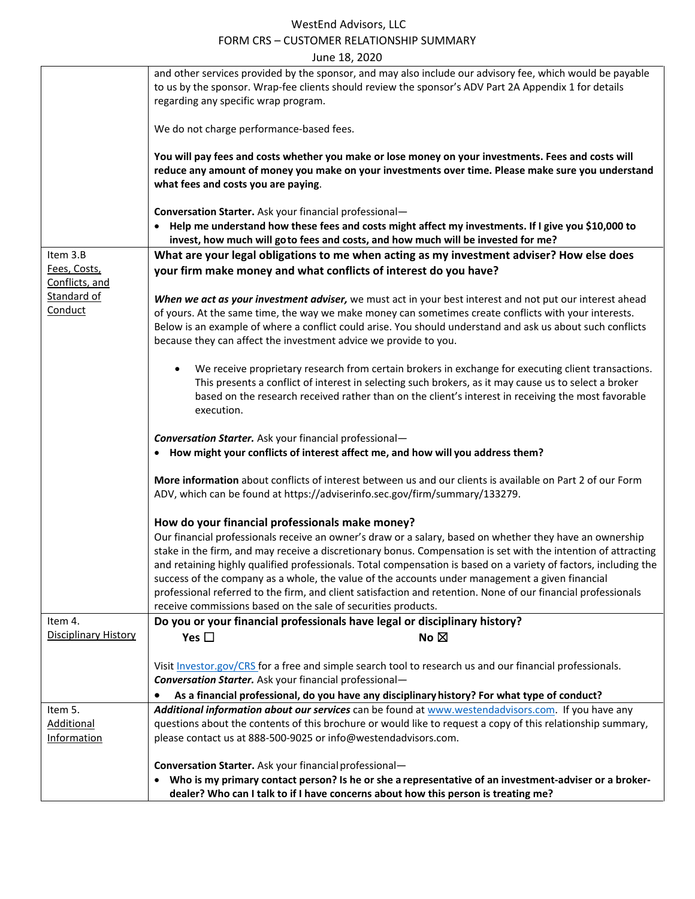#### WestEnd Advisors, LLC FORM CRS – CUSTOMER RELATIONSHIP SUMMARY  $J_{\text{II}}$   $\sim$  18, 2020

|                             | June 18, 2020                                                                                                                                                                            |
|-----------------------------|------------------------------------------------------------------------------------------------------------------------------------------------------------------------------------------|
|                             | and other services provided by the sponsor, and may also include our advisory fee, which would be payable                                                                                |
|                             | to us by the sponsor. Wrap-fee clients should review the sponsor's ADV Part 2A Appendix 1 for details                                                                                    |
|                             | regarding any specific wrap program.                                                                                                                                                     |
|                             |                                                                                                                                                                                          |
|                             | We do not charge performance-based fees.                                                                                                                                                 |
|                             |                                                                                                                                                                                          |
|                             | You will pay fees and costs whether you make or lose money on your investments. Fees and costs will                                                                                      |
|                             | reduce any amount of money you make on your investments over time. Please make sure you understand                                                                                       |
|                             | what fees and costs you are paying.                                                                                                                                                      |
|                             |                                                                                                                                                                                          |
|                             | Conversation Starter. Ask your financial professional-                                                                                                                                   |
|                             |                                                                                                                                                                                          |
|                             | • Help me understand how these fees and costs might affect my investments. If I give you \$10,000 to<br>invest, how much will goto fees and costs, and how much will be invested for me? |
| Item 3.B                    | What are your legal obligations to me when acting as my investment adviser? How else does                                                                                                |
| Fees, Costs,                | your firm make money and what conflicts of interest do you have?                                                                                                                         |
| Conflicts, and              |                                                                                                                                                                                          |
| Standard of                 |                                                                                                                                                                                          |
|                             | When we act as your investment adviser, we must act in your best interest and not put our interest ahead                                                                                 |
| Conduct                     | of yours. At the same time, the way we make money can sometimes create conflicts with your interests.                                                                                    |
|                             | Below is an example of where a conflict could arise. You should understand and ask us about such conflicts                                                                               |
|                             | because they can affect the investment advice we provide to you.                                                                                                                         |
|                             |                                                                                                                                                                                          |
|                             |                                                                                                                                                                                          |
|                             | We receive proprietary research from certain brokers in exchange for executing client transactions.<br>$\bullet$                                                                         |
|                             | This presents a conflict of interest in selecting such brokers, as it may cause us to select a broker                                                                                    |
|                             | based on the research received rather than on the client's interest in receiving the most favorable                                                                                      |
|                             | execution.                                                                                                                                                                               |
|                             |                                                                                                                                                                                          |
|                             | <b>Conversation Starter.</b> Ask your financial professional-                                                                                                                            |
|                             |                                                                                                                                                                                          |
|                             | • How might your conflicts of interest affect me, and how will you address them?                                                                                                         |
|                             |                                                                                                                                                                                          |
|                             | More information about conflicts of interest between us and our clients is available on Part 2 of our Form                                                                               |
|                             | ADV, which can be found at https://adviserinfo.sec.gov/firm/summary/133279.                                                                                                              |
|                             |                                                                                                                                                                                          |
|                             | How do your financial professionals make money?                                                                                                                                          |
|                             | Our financial professionals receive an owner's draw or a salary, based on whether they have an ownership                                                                                 |
|                             |                                                                                                                                                                                          |
|                             | stake in the firm, and may receive a discretionary bonus. Compensation is set with the intention of attracting                                                                           |
|                             | and retaining highly qualified professionals. Total compensation is based on a variety of factors, including the                                                                         |
|                             | success of the company as a whole, the value of the accounts under management a given financial                                                                                          |
|                             | professional referred to the firm, and client satisfaction and retention. None of our financial professionals                                                                            |
|                             | receive commissions based on the sale of securities products.                                                                                                                            |
| Item 4.                     | Do you or your financial professionals have legal or disciplinary history?                                                                                                               |
|                             |                                                                                                                                                                                          |
| <b>Disciplinary History</b> | Yes $\square$<br>No $\boxtimes$                                                                                                                                                          |
|                             |                                                                                                                                                                                          |
|                             | Visit Investor.gov/CRS for a free and simple search tool to research us and our financial professionals.                                                                                 |
|                             | <b>Conversation Starter.</b> Ask your financial professional-                                                                                                                            |
|                             |                                                                                                                                                                                          |
|                             | As a financial professional, do you have any disciplinary history? For what type of conduct?                                                                                             |
| Item 5.                     | Additional information about our services can be found at www.westendadvisors.com. If you have any                                                                                       |
| <b>Additional</b>           | questions about the contents of this brochure or would like to request a copy of this relationship summary,                                                                              |
| Information                 | please contact us at 888-500-9025 or info@westendadvisors.com.                                                                                                                           |
|                             |                                                                                                                                                                                          |
|                             |                                                                                                                                                                                          |
|                             | Conversation Starter. Ask your financial professional-                                                                                                                                   |
|                             | • Who is my primary contact person? Is he or she a representative of an investment-adviser or a broker-                                                                                  |
|                             | dealer? Who can I talk to if I have concerns about how this person is treating me?                                                                                                       |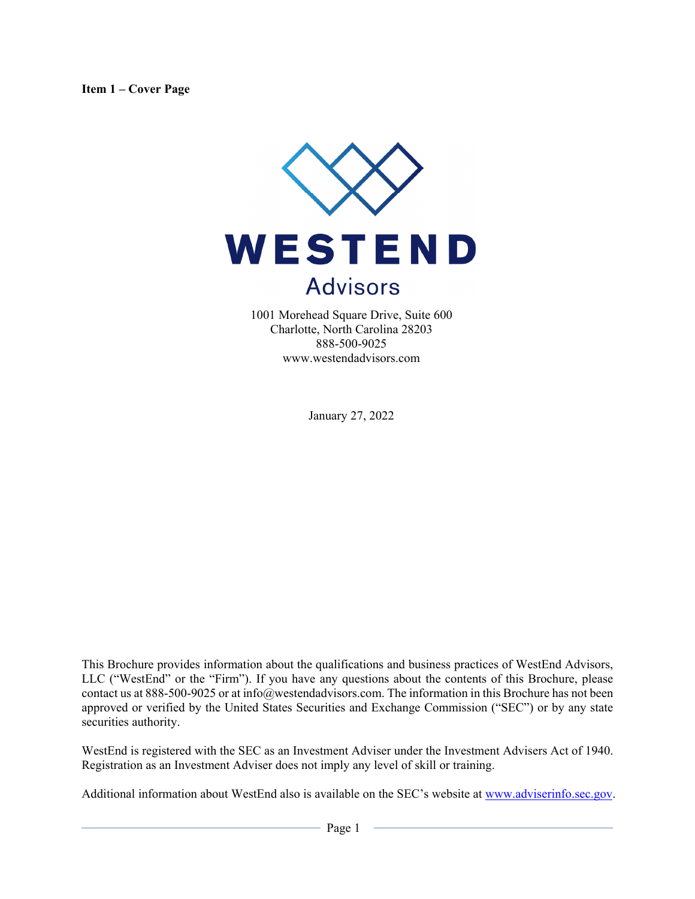

1001 Morehead Square Drive, Suite 600 Charlotte, North Carolina 28203 888-500-9025 www.westendadvisors.com

January 27, 2022

This Brochure provides information about the qualifications and business practices of WestEnd Advisors, LLC ("WestEnd" or the "Firm"). If you have any questions about the contents of this Brochure, please contact us at 888-500-9025 or at info@westendadvisors.com. The information in this Brochure has not been approved or verified by the United States Securities and Exchange Commission ("SEC") or by any state securities authority.

WestEnd is registered with the SEC as an Investment Adviser under the Investment Advisers Act of 1940. Registration as an Investment Adviser does not imply any level of skill or training.

Additional information about WestEnd also is available on the SEC's website at www.adviserinfo.sec.gov.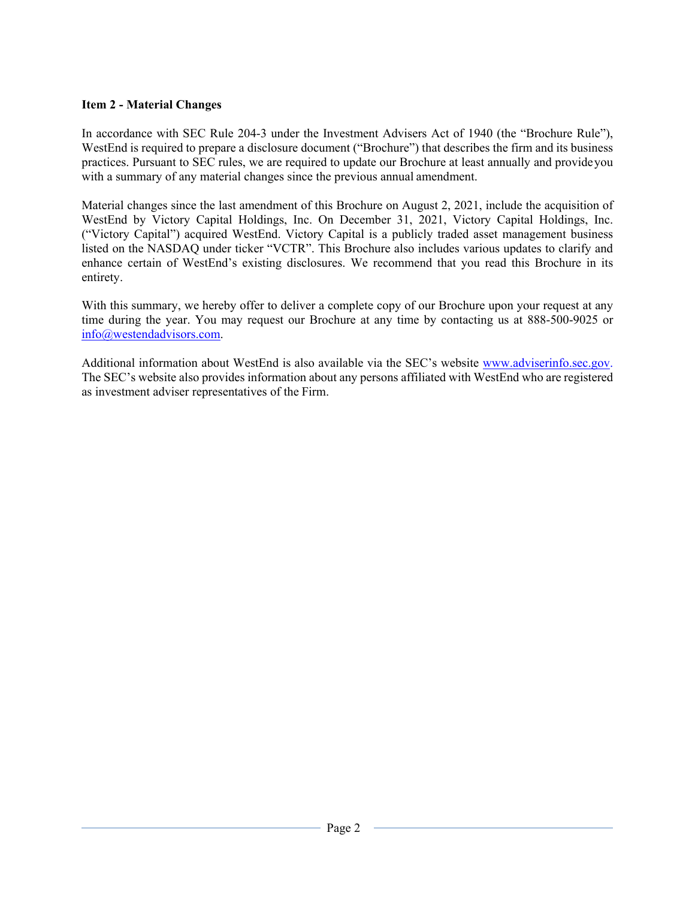## **Item 2 - Material Changes**

In accordance with SEC Rule 204-3 under the Investment Advisers Act of 1940 (the "Brochure Rule"), WestEnd is required to prepare a disclosure document ("Brochure") that describes the firm and its business practices. Pursuant to SEC rules, we are required to update our Brochure at least annually and provide you with a summary of any material changes since the previous annual amendment.

Material changes since the last amendment of this Brochure on August 2, 2021, include the acquisition of WestEnd by Victory Capital Holdings, Inc. On December 31, 2021, Victory Capital Holdings, Inc. ("Victory Capital") acquired WestEnd. Victory Capital is a publicly traded asset management business listed on the NASDAQ under ticker "VCTR". This Brochure also includes various updates to clarify and enhance certain of WestEnd's existing disclosures. We recommend that you read this Brochure in its entirety.

With this summary, we hereby offer to deliver a complete copy of our Brochure upon your request at any time during the year. You may request our Brochure at any time by contacting us at 888-500-9025 or info@westendadvisors.com.

Additional information about WestEnd is also available via the SEC's website www.adviserinfo.sec.gov. The SEC's website also provides information about any persons affiliated with WestEnd who are registered as investment adviser representatives of the Firm.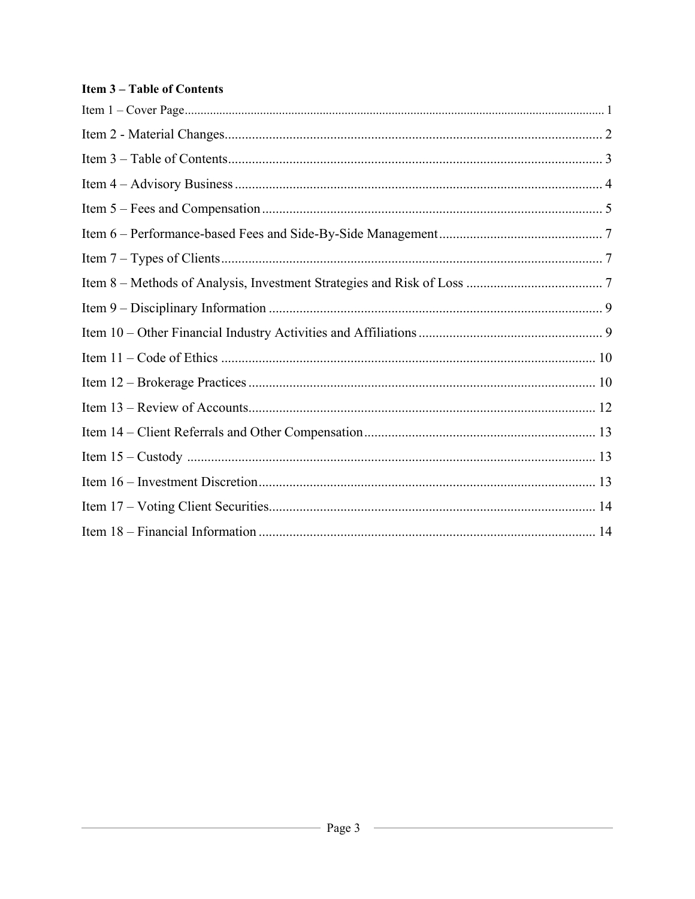# **Item 3-Table of Contents**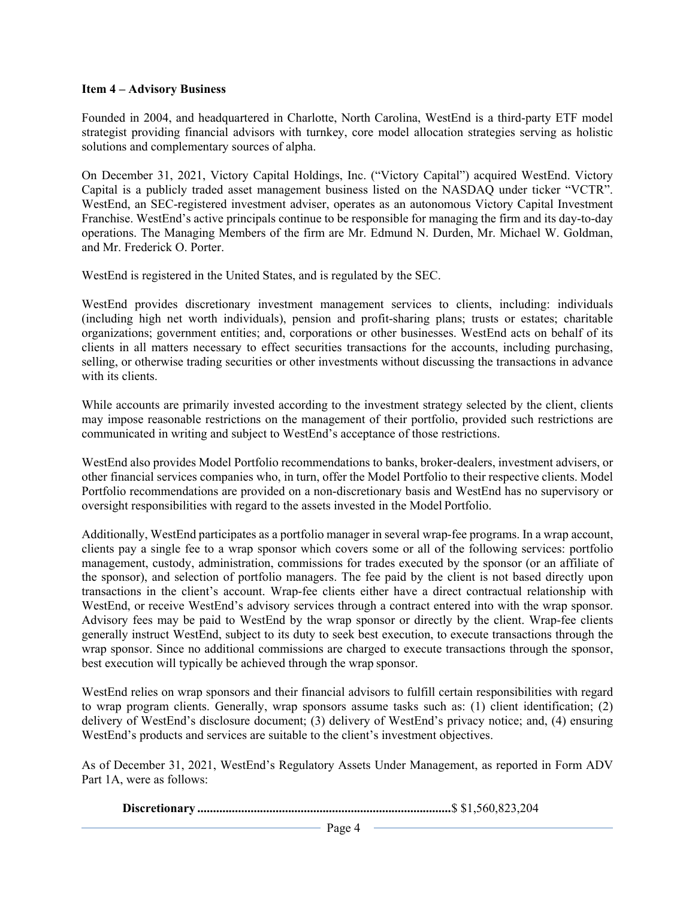#### **Item 4 – Advisory Business**

Founded in 2004, and headquartered in Charlotte, North Carolina, WestEnd is a third-party ETF model strategist providing financial advisors with turnkey, core model allocation strategies serving as holistic solutions and complementary sources of alpha.

On December 31, 2021, Victory Capital Holdings, Inc. ("Victory Capital") acquired WestEnd. Victory Capital is a publicly traded asset management business listed on the NASDAQ under ticker "VCTR". WestEnd, an SEC-registered investment adviser, operates as an autonomous Victory Capital Investment Franchise. WestEnd's active principals continue to be responsible for managing the firm and its day-to-day operations. The Managing Members of the firm are Mr. Edmund N. Durden, Mr. Michael W. Goldman, and Mr. Frederick O. Porter.

WestEnd is registered in the United States, and is regulated by the SEC.

WestEnd provides discretionary investment management services to clients, including: individuals (including high net worth individuals), pension and profit-sharing plans; trusts or estates; charitable organizations; government entities; and, corporations or other businesses. WestEnd acts on behalf of its clients in all matters necessary to effect securities transactions for the accounts, including purchasing, selling, or otherwise trading securities or other investments without discussing the transactions in advance with its clients.

While accounts are primarily invested according to the investment strategy selected by the client, clients may impose reasonable restrictions on the management of their portfolio, provided such restrictions are communicated in writing and subject to WestEnd's acceptance of those restrictions.

WestEnd also provides Model Portfolio recommendations to banks, broker-dealers, investment advisers, or other financial services companies who, in turn, offer the Model Portfolio to their respective clients. Model Portfolio recommendations are provided on a non-discretionary basis and WestEnd has no supervisory or oversight responsibilities with regard to the assets invested in the Model Portfolio.

Additionally, WestEnd participates as a portfolio manager in several wrap-fee programs. In a wrap account, clients pay a single fee to a wrap sponsor which covers some or all of the following services: portfolio management, custody, administration, commissions for trades executed by the sponsor (or an affiliate of the sponsor), and selection of portfolio managers. The fee paid by the client is not based directly upon transactions in the client's account. Wrap-fee clients either have a direct contractual relationship with WestEnd, or receive WestEnd's advisory services through a contract entered into with the wrap sponsor. Advisory fees may be paid to WestEnd by the wrap sponsor or directly by the client. Wrap-fee clients generally instruct WestEnd, subject to its duty to seek best execution, to execute transactions through the wrap sponsor. Since no additional commissions are charged to execute transactions through the sponsor, best execution will typically be achieved through the wrap sponsor.

WestEnd relies on wrap sponsors and their financial advisors to fulfill certain responsibilities with regard to wrap program clients. Generally, wrap sponsors assume tasks such as: (1) client identification; (2) delivery of WestEnd's disclosure document; (3) delivery of WestEnd's privacy notice; and, (4) ensuring WestEnd's products and services are suitable to the client's investment objectives.

As of December 31, 2021, WestEnd's Regulatory Assets Under Management, as reported in Form ADV Part 1A, were as follows:

**Discretionary .................................................................................** \$ \$1,560,823,204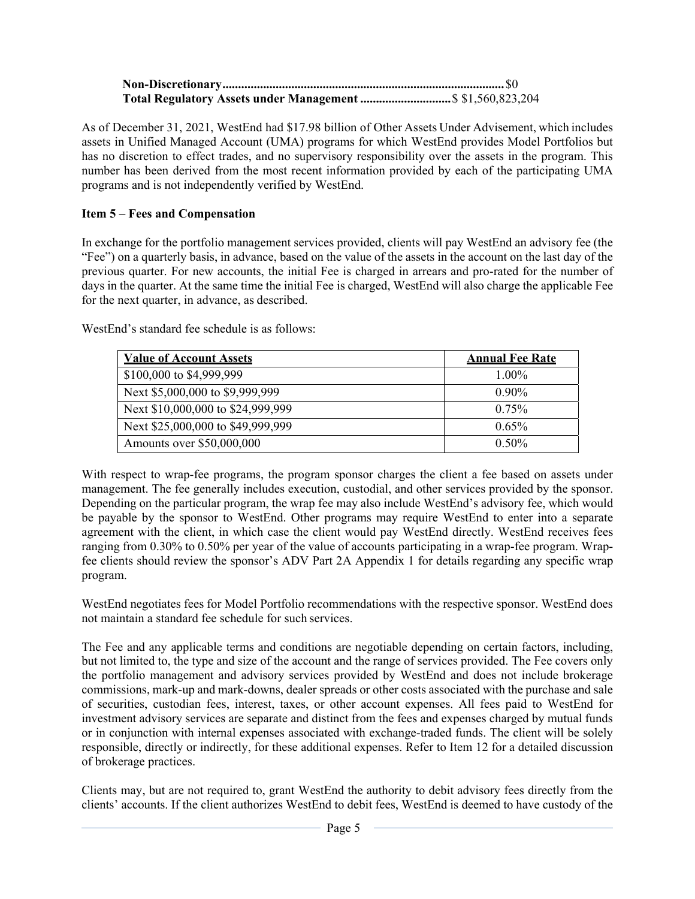| Total Regulatory Assets under Management \$ \$1,560,823,204 |  |
|-------------------------------------------------------------|--|

As of December 31, 2021, WestEnd had \$17.98 billion of Other Assets Under Advisement, which includes assets in Unified Managed Account (UMA) programs for which WestEnd provides Model Portfolios but has no discretion to effect trades, and no supervisory responsibility over the assets in the program. This number has been derived from the most recent information provided by each of the participating UMA programs and is not independently verified by WestEnd.

# **Item 5 – Fees and Compensation**

In exchange for the portfolio management services provided, clients will pay WestEnd an advisory fee (the "Fee") on a quarterly basis, in advance, based on the value of the assets in the account on the last day of the previous quarter. For new accounts, the initial Fee is charged in arrears and pro-rated for the number of days in the quarter. At the same time the initial Fee is charged, WestEnd will also charge the applicable Fee for the next quarter, in advance, as described.

WestEnd's standard fee schedule is as follows:

| <b>Value of Account Assets</b>    | <b>Annual Fee Rate</b> |
|-----------------------------------|------------------------|
| \$100,000 to \$4,999,999          | $1.00\%$               |
| Next \$5,000,000 to \$9,999,999   | $0.90\%$               |
| Next \$10,000,000 to \$24,999,999 | $0.75\%$               |
| Next \$25,000,000 to \$49,999,999 | $0.65\%$               |
| Amounts over \$50,000,000         | $0.50\%$               |

With respect to wrap-fee programs, the program sponsor charges the client a fee based on assets under management. The fee generally includes execution, custodial, and other services provided by the sponsor. Depending on the particular program, the wrap fee may also include WestEnd's advisory fee, which would be payable by the sponsor to WestEnd. Other programs may require WestEnd to enter into a separate agreement with the client, in which case the client would pay WestEnd directly. WestEnd receives fees ranging from 0.30% to 0.50% per year of the value of accounts participating in a wrap-fee program. Wrapfee clients should review the sponsor's ADV Part 2A Appendix 1 for details regarding any specific wrap program.

WestEnd negotiates fees for Model Portfolio recommendations with the respective sponsor. WestEnd does not maintain a standard fee schedule for such services.

The Fee and any applicable terms and conditions are negotiable depending on certain factors, including, but not limited to, the type and size of the account and the range of services provided. The Fee covers only the portfolio management and advisory services provided by WestEnd and does not include brokerage commissions, mark-up and mark-downs, dealer spreads or other costs associated with the purchase and sale of securities, custodian fees, interest, taxes, or other account expenses. All fees paid to WestEnd for investment advisory services are separate and distinct from the fees and expenses charged by mutual funds or in conjunction with internal expenses associated with exchange-traded funds. The client will be solely responsible, directly or indirectly, for these additional expenses. Refer to Item 12 for a detailed discussion of brokerage practices.

Clients may, but are not required to, grant WestEnd the authority to debit advisory fees directly from the clients' accounts. If the client authorizes WestEnd to debit fees, WestEnd is deemed to have custody of the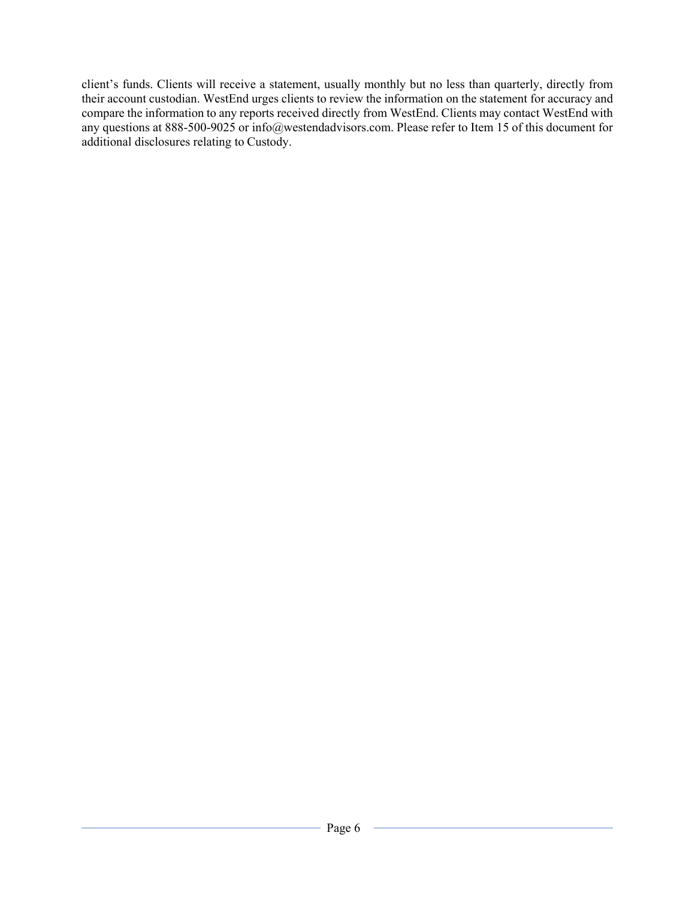client's funds. Clients will receive a statement, usually monthly but no less than quarterly, directly from their account custodian. WestEnd urges clients to review the information on the statement for accuracy and compare the information to any reports received directly from WestEnd. Clients may contact WestEnd with any questions at 888-500-9025 or info@westendadvisors.com. Please refer to Item 15 of this document for additional disclosures relating to Custody.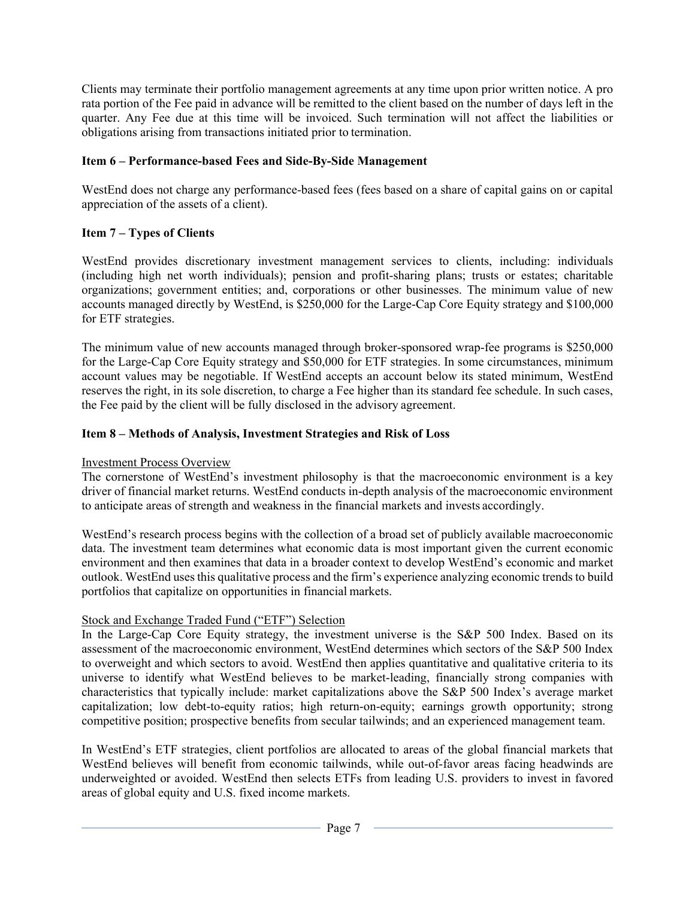Clients may terminate their portfolio management agreements at any time upon prior written notice. A pro rata portion of the Fee paid in advance will be remitted to the client based on the number of days left in the quarter. Any Fee due at this time will be invoiced. Such termination will not affect the liabilities or obligations arising from transactions initiated prior to termination.

# **Item 6 – Performance-based Fees and Side-By-Side Management**

WestEnd does not charge any performance-based fees (fees based on a share of capital gains on or capital appreciation of the assets of a client).

# **Item 7 – Types of Clients**

WestEnd provides discretionary investment management services to clients, including: individuals (including high net worth individuals); pension and profit-sharing plans; trusts or estates; charitable organizations; government entities; and, corporations or other businesses. The minimum value of new accounts managed directly by WestEnd, is \$250,000 for the Large-Cap Core Equity strategy and \$100,000 for ETF strategies.

The minimum value of new accounts managed through broker-sponsored wrap-fee programs is \$250,000 for the Large-Cap Core Equity strategy and \$50,000 for ETF strategies. In some circumstances, minimum account values may be negotiable. If WestEnd accepts an account below its stated minimum, WestEnd reserves the right, in its sole discretion, to charge a Fee higher than its standard fee schedule. In such cases, the Fee paid by the client will be fully disclosed in the advisory agreement.

# **Item 8 – Methods of Analysis, Investment Strategies and Risk of Loss**

# Investment Process Overview

The cornerstone of WestEnd's investment philosophy is that the macroeconomic environment is a key driver of financial market returns. WestEnd conducts in-depth analysis of the macroeconomic environment to anticipate areas of strength and weakness in the financial markets and invests accordingly.

WestEnd's research process begins with the collection of a broad set of publicly available macroeconomic data. The investment team determines what economic data is most important given the current economic environment and then examines that data in a broader context to develop WestEnd's economic and market outlook. WestEnd uses this qualitative process and the firm's experience analyzing economic trends to build portfolios that capitalize on opportunities in financial markets.

# Stock and Exchange Traded Fund ("ETF") Selection

In the Large-Cap Core Equity strategy, the investment universe is the S&P 500 Index. Based on its assessment of the macroeconomic environment, WestEnd determines which sectors of the S&P 500 Index to overweight and which sectors to avoid. WestEnd then applies quantitative and qualitative criteria to its universe to identify what WestEnd believes to be market-leading, financially strong companies with characteristics that typically include: market capitalizations above the S&P 500 Index's average market capitalization; low debt-to-equity ratios; high return-on-equity; earnings growth opportunity; strong competitive position; prospective benefits from secular tailwinds; and an experienced management team.

In WestEnd's ETF strategies, client portfolios are allocated to areas of the global financial markets that WestEnd believes will benefit from economic tailwinds, while out-of-favor areas facing headwinds are underweighted or avoided. WestEnd then selects ETFs from leading U.S. providers to invest in favored areas of global equity and U.S. fixed income markets.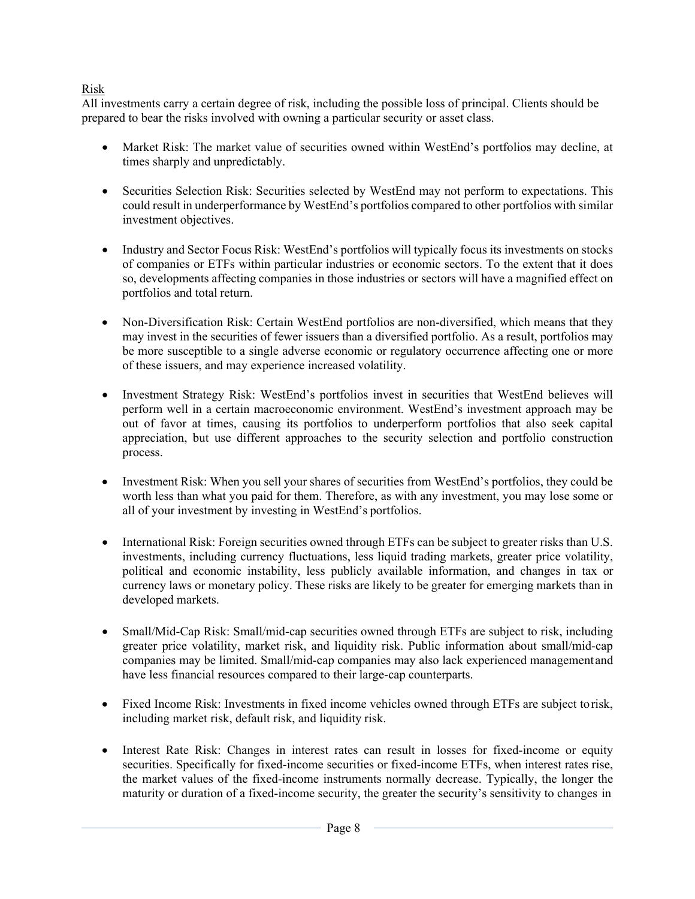# Risk

All investments carry a certain degree of risk, including the possible loss of principal. Clients should be prepared to bear the risks involved with owning a particular security or asset class.

- Market Risk: The market value of securities owned within WestEnd's portfolios may decline, at times sharply and unpredictably.
- Securities Selection Risk: Securities selected by WestEnd may not perform to expectations. This could result in underperformance by WestEnd's portfolios compared to other portfolios with similar investment objectives.
- Industry and Sector Focus Risk: WestEnd's portfolios will typically focus its investments on stocks of companies or ETFs within particular industries or economic sectors. To the extent that it does so, developments affecting companies in those industries or sectors will have a magnified effect on portfolios and total return.
- Non-Diversification Risk: Certain WestEnd portfolios are non-diversified, which means that they may invest in the securities of fewer issuers than a diversified portfolio. As a result, portfolios may be more susceptible to a single adverse economic or regulatory occurrence affecting one or more of these issuers, and may experience increased volatility.
- Investment Strategy Risk: WestEnd's portfolios invest in securities that WestEnd believes will perform well in a certain macroeconomic environment. WestEnd's investment approach may be out of favor at times, causing its portfolios to underperform portfolios that also seek capital appreciation, but use different approaches to the security selection and portfolio construction process.
- Investment Risk: When you sell your shares of securities from WestEnd's portfolios, they could be worth less than what you paid for them. Therefore, as with any investment, you may lose some or all of your investment by investing in WestEnd's portfolios.
- International Risk: Foreign securities owned through ETFs can be subject to greater risks than U.S. investments, including currency fluctuations, less liquid trading markets, greater price volatility, political and economic instability, less publicly available information, and changes in tax or currency laws or monetary policy. These risks are likely to be greater for emerging markets than in developed markets.
- Small/Mid-Cap Risk: Small/mid-cap securities owned through ETFs are subject to risk, including greater price volatility, market risk, and liquidity risk. Public information about small/mid-cap companies may be limited. Small/mid-cap companies may also lack experienced management and have less financial resources compared to their large-cap counterparts.
- Fixed Income Risk: Investments in fixed income vehicles owned through ETFs are subject to risk, including market risk, default risk, and liquidity risk.
- Interest Rate Risk: Changes in interest rates can result in losses for fixed-income or equity securities. Specifically for fixed-income securities or fixed-income ETFs, when interest rates rise, the market values of the fixed-income instruments normally decrease. Typically, the longer the maturity or duration of a fixed-income security, the greater the security's sensitivity to changes in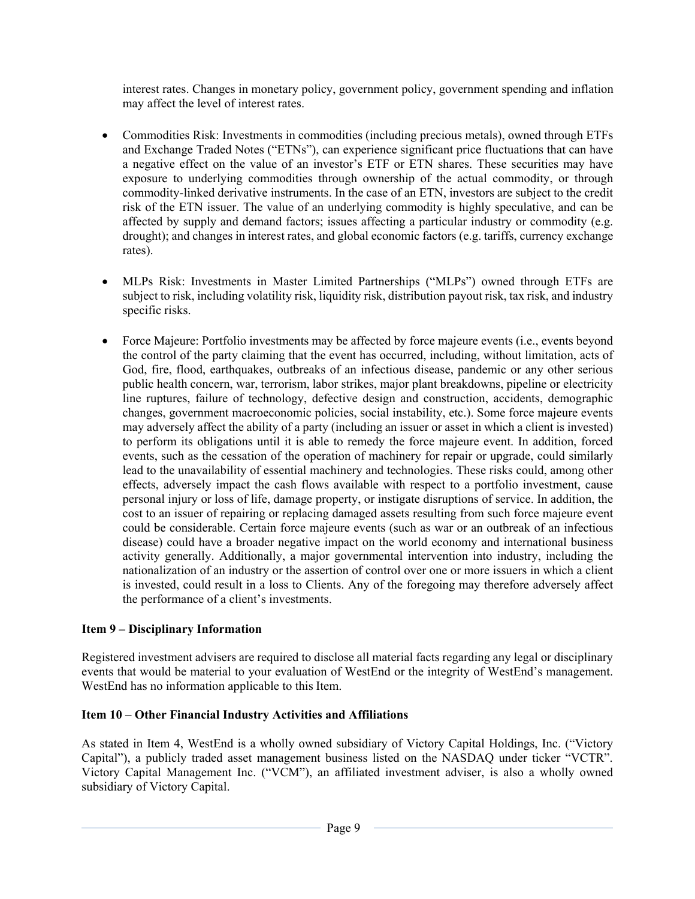interest rates. Changes in monetary policy, government policy, government spending and inflation may affect the level of interest rates.

- Commodities Risk: Investments in commodities (including precious metals), owned through ETFs and Exchange Traded Notes ("ETNs"), can experience significant price fluctuations that can have a negative effect on the value of an investor's ETF or ETN shares. These securities may have exposure to underlying commodities through ownership of the actual commodity, or through commodity-linked derivative instruments. In the case of an ETN, investors are subject to the credit risk of the ETN issuer. The value of an underlying commodity is highly speculative, and can be affected by supply and demand factors; issues affecting a particular industry or commodity (e.g. drought); and changes in interest rates, and global economic factors (e.g. tariffs, currency exchange rates).
- MLPs Risk: Investments in Master Limited Partnerships ("MLPs") owned through ETFs are subject to risk, including volatility risk, liquidity risk, distribution payout risk, tax risk, and industry specific risks.
- Force Majeure: Portfolio investments may be affected by force majeure events (i.e., events beyond the control of the party claiming that the event has occurred, including, without limitation, acts of God, fire, flood, earthquakes, outbreaks of an infectious disease, pandemic or any other serious public health concern, war, terrorism, labor strikes, major plant breakdowns, pipeline or electricity line ruptures, failure of technology, defective design and construction, accidents, demographic changes, government macroeconomic policies, social instability, etc.). Some force majeure events may adversely affect the ability of a party (including an issuer or asset in which a client is invested) to perform its obligations until it is able to remedy the force majeure event. In addition, forced events, such as the cessation of the operation of machinery for repair or upgrade, could similarly lead to the unavailability of essential machinery and technologies. These risks could, among other effects, adversely impact the cash flows available with respect to a portfolio investment, cause personal injury or loss of life, damage property, or instigate disruptions of service. In addition, the cost to an issuer of repairing or replacing damaged assets resulting from such force majeure event could be considerable. Certain force majeure events (such as war or an outbreak of an infectious disease) could have a broader negative impact on the world economy and international business activity generally. Additionally, a major governmental intervention into industry, including the nationalization of an industry or the assertion of control over one or more issuers in which a client is invested, could result in a loss to Clients. Any of the foregoing may therefore adversely affect the performance of a client's investments.

# **Item 9 – Disciplinary Information**

Registered investment advisers are required to disclose all material facts regarding any legal or disciplinary events that would be material to your evaluation of WestEnd or the integrity of WestEnd's management. WestEnd has no information applicable to this Item.

# **Item 10 – Other Financial Industry Activities and Affiliations**

As stated in Item 4, WestEnd is a wholly owned subsidiary of Victory Capital Holdings, Inc. ("Victory Capital"), a publicly traded asset management business listed on the NASDAQ under ticker "VCTR". Victory Capital Management Inc. ("VCM"), an affiliated investment adviser, is also a wholly owned subsidiary of Victory Capital.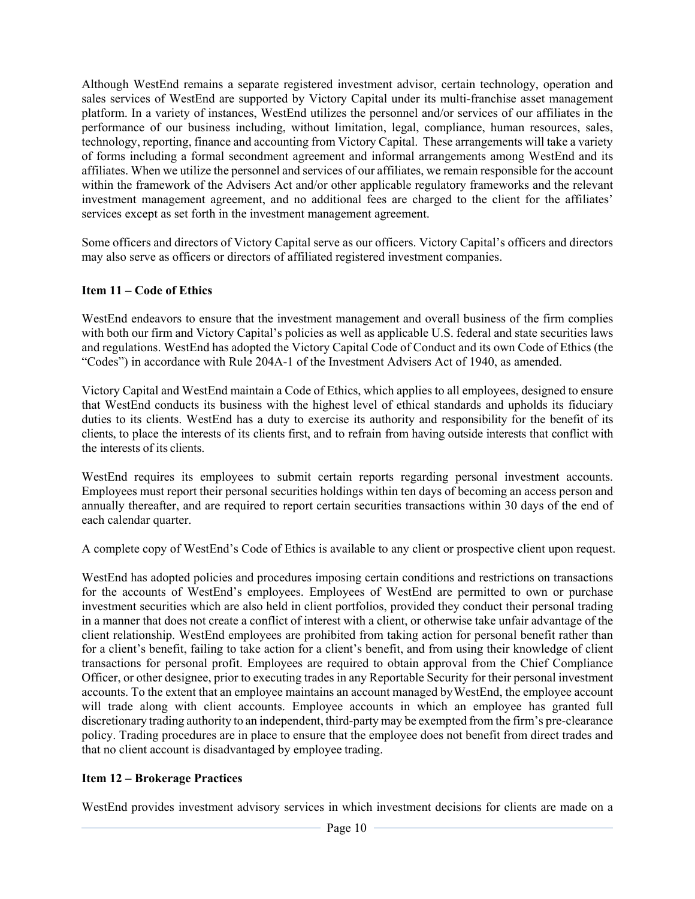Although WestEnd remains a separate registered investment advisor, certain technology, operation and sales services of WestEnd are supported by Victory Capital under its multi-franchise asset management platform. In a variety of instances, WestEnd utilizes the personnel and/or services of our affiliates in the performance of our business including, without limitation, legal, compliance, human resources, sales, technology, reporting, finance and accounting from Victory Capital. These arrangements will take a variety of forms including a formal secondment agreement and informal arrangements among WestEnd and its affiliates. When we utilize the personnel and services of our affiliates, we remain responsible for the account within the framework of the Advisers Act and/or other applicable regulatory frameworks and the relevant investment management agreement, and no additional fees are charged to the client for the affiliates' services except as set forth in the investment management agreement.

Some officers and directors of Victory Capital serve as our officers. Victory Capital's officers and directors may also serve as officers or directors of affiliated registered investment companies.

## **Item 11 – Code of Ethics**

WestEnd endeavors to ensure that the investment management and overall business of the firm complies with both our firm and Victory Capital's policies as well as applicable U.S. federal and state securities laws and regulations. WestEnd has adopted the Victory Capital Code of Conduct and its own Code of Ethics (the "Codes") in accordance with Rule 204A-1 of the Investment Advisers Act of 1940, as amended.

Victory Capital and WestEnd maintain a Code of Ethics, which applies to all employees, designed to ensure that WestEnd conducts its business with the highest level of ethical standards and upholds its fiduciary duties to its clients. WestEnd has a duty to exercise its authority and responsibility for the benefit of its clients, to place the interests of its clients first, and to refrain from having outside interests that conflict with the interests of its clients.

WestEnd requires its employees to submit certain reports regarding personal investment accounts. Employees must report their personal securities holdings within ten days of becoming an access person and annually thereafter, and are required to report certain securities transactions within 30 days of the end of each calendar quarter.

A complete copy of WestEnd's Code of Ethics is available to any client or prospective client upon request.

WestEnd has adopted policies and procedures imposing certain conditions and restrictions on transactions for the accounts of WestEnd's employees. Employees of WestEnd are permitted to own or purchase investment securities which are also held in client portfolios, provided they conduct their personal trading in a manner that does not create a conflict of interest with a client, or otherwise take unfair advantage of the client relationship. WestEnd employees are prohibited from taking action for personal benefit rather than for a client's benefit, failing to take action for a client's benefit, and from using their knowledge of client transactions for personal profit. Employees are required to obtain approval from the Chief Compliance Officer, or other designee, prior to executing trades in any Reportable Security for their personal investment accounts. To the extent that an employee maintains an account managed by WestEnd, the employee account will trade along with client accounts. Employee accounts in which an employee has granted full discretionary trading authority to an independent, third-party may be exempted from the firm's pre-clearance policy. Trading procedures are in place to ensure that the employee does not benefit from direct trades and that no client account is disadvantaged by employee trading.

## **Item 12 – Brokerage Practices**

WestEnd provides investment advisory services in which investment decisions for clients are made on a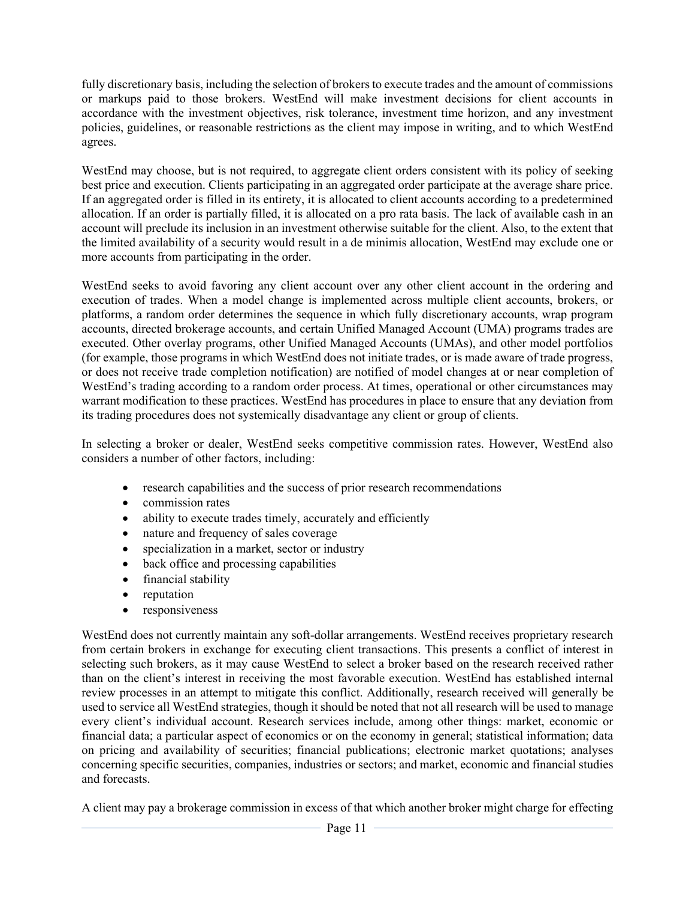fully discretionary basis, including the selection of brokers to execute trades and the amount of commissions or markups paid to those brokers. WestEnd will make investment decisions for client accounts in accordance with the investment objectives, risk tolerance, investment time horizon, and any investment policies, guidelines, or reasonable restrictions as the client may impose in writing, and to which WestEnd agrees.

WestEnd may choose, but is not required, to aggregate client orders consistent with its policy of seeking best price and execution. Clients participating in an aggregated order participate at the average share price. If an aggregated order is filled in its entirety, it is allocated to client accounts according to a predetermined allocation. If an order is partially filled, it is allocated on a pro rata basis. The lack of available cash in an account will preclude its inclusion in an investment otherwise suitable for the client. Also, to the extent that the limited availability of a security would result in a de minimis allocation, WestEnd may exclude one or more accounts from participating in the order.

WestEnd seeks to avoid favoring any client account over any other client account in the ordering and execution of trades. When a model change is implemented across multiple client accounts, brokers, or platforms, a random order determines the sequence in which fully discretionary accounts, wrap program accounts, directed brokerage accounts, and certain Unified Managed Account (UMA) programs trades are executed. Other overlay programs, other Unified Managed Accounts (UMAs), and other model portfolios (for example, those programs in which WestEnd does not initiate trades, or is made aware of trade progress, or does not receive trade completion notification) are notified of model changes at or near completion of WestEnd's trading according to a random order process. At times, operational or other circumstances may warrant modification to these practices. WestEnd has procedures in place to ensure that any deviation from its trading procedures does not systemically disadvantage any client or group of clients.

In selecting a broker or dealer, WestEnd seeks competitive commission rates. However, WestEnd also considers a number of other factors, including:

- research capabilities and the success of prior research recommendations
- commission rates
- ability to execute trades timely, accurately and efficiently
- nature and frequency of sales coverage
- specialization in a market, sector or industry
- back office and processing capabilities
- financial stability
- reputation
- responsiveness

WestEnd does not currently maintain any soft-dollar arrangements. WestEnd receives proprietary research from certain brokers in exchange for executing client transactions. This presents a conflict of interest in selecting such brokers, as it may cause WestEnd to select a broker based on the research received rather than on the client's interest in receiving the most favorable execution. WestEnd has established internal review processes in an attempt to mitigate this conflict. Additionally, research received will generally be used to service all WestEnd strategies, though it should be noted that not all research will be used to manage every client's individual account. Research services include, among other things: market, economic or financial data; a particular aspect of economics or on the economy in general; statistical information; data on pricing and availability of securities; financial publications; electronic market quotations; analyses concerning specific securities, companies, industries or sectors; and market, economic and financial studies and forecasts.

A client may pay a brokerage commission in excess of that which another broker might charge for effecting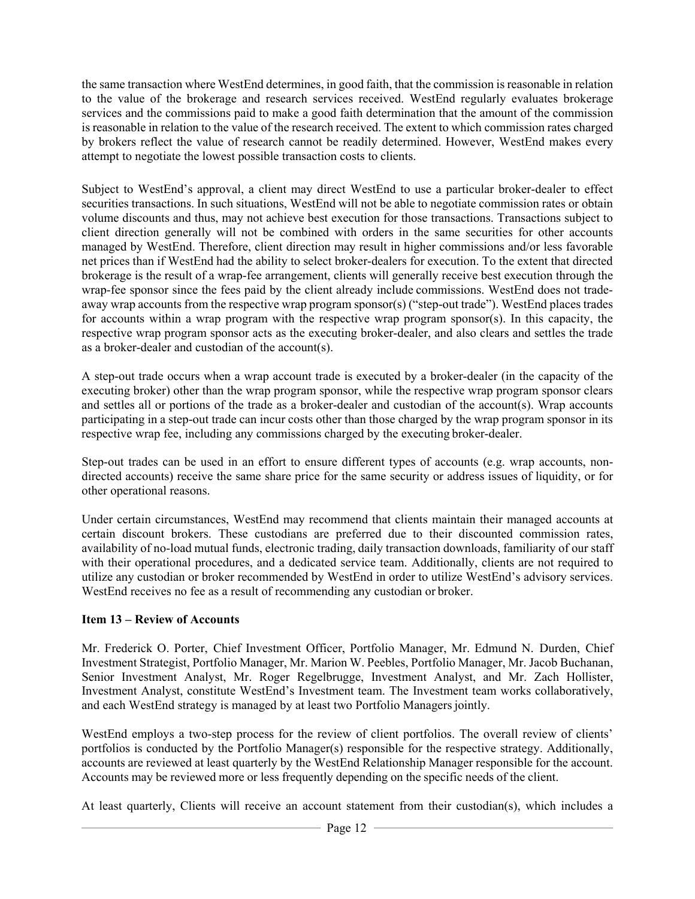the same transaction where WestEnd determines, in good faith, that the commission is reasonable in relation to the value of the brokerage and research services received. WestEnd regularly evaluates brokerage services and the commissions paid to make a good faith determination that the amount of the commission is reasonable in relation to the value of the research received. The extent to which commission rates charged by brokers reflect the value of research cannot be readily determined. However, WestEnd makes every attempt to negotiate the lowest possible transaction costs to clients.

Subject to WestEnd's approval, a client may direct WestEnd to use a particular broker-dealer to effect securities transactions. In such situations, WestEnd will not be able to negotiate commission rates or obtain volume discounts and thus, may not achieve best execution for those transactions. Transactions subject to client direction generally will not be combined with orders in the same securities for other accounts managed by WestEnd. Therefore, client direction may result in higher commissions and/or less favorable net prices than if WestEnd had the ability to select broker-dealers for execution. To the extent that directed brokerage is the result of a wrap-fee arrangement, clients will generally receive best execution through the wrap-fee sponsor since the fees paid by the client already include commissions. WestEnd does not tradeaway wrap accounts from the respective wrap program sponsor(s) ("step-out trade"). WestEnd places trades for accounts within a wrap program with the respective wrap program sponsor(s). In this capacity, the respective wrap program sponsor acts as the executing broker-dealer, and also clears and settles the trade as a broker-dealer and custodian of the account(s).

A step-out trade occurs when a wrap account trade is executed by a broker-dealer (in the capacity of the executing broker) other than the wrap program sponsor, while the respective wrap program sponsor clears and settles all or portions of the trade as a broker-dealer and custodian of the account(s). Wrap accounts participating in a step-out trade can incur costs other than those charged by the wrap program sponsor in its respective wrap fee, including any commissions charged by the executing broker-dealer.

Step-out trades can be used in an effort to ensure different types of accounts (e.g. wrap accounts, nondirected accounts) receive the same share price for the same security or address issues of liquidity, or for other operational reasons.

Under certain circumstances, WestEnd may recommend that clients maintain their managed accounts at certain discount brokers. These custodians are preferred due to their discounted commission rates, availability of no-load mutual funds, electronic trading, daily transaction downloads, familiarity of our staff with their operational procedures, and a dedicated service team. Additionally, clients are not required to utilize any custodian or broker recommended by WestEnd in order to utilize WestEnd's advisory services. WestEnd receives no fee as a result of recommending any custodian or broker.

# **Item 13 – Review of Accounts**

Mr. Frederick O. Porter, Chief Investment Officer, Portfolio Manager, Mr. Edmund N. Durden, Chief Investment Strategist, Portfolio Manager, Mr. Marion W. Peebles, Portfolio Manager, Mr. Jacob Buchanan, Senior Investment Analyst, Mr. Roger Regelbrugge, Investment Analyst, and Mr. Zach Hollister, Investment Analyst, constitute WestEnd's Investment team. The Investment team works collaboratively, and each WestEnd strategy is managed by at least two Portfolio Managers jointly.

WestEnd employs a two-step process for the review of client portfolios. The overall review of clients' portfolios is conducted by the Portfolio Manager(s) responsible for the respective strategy. Additionally, accounts are reviewed at least quarterly by the WestEnd Relationship Manager responsible for the account. Accounts may be reviewed more or less frequently depending on the specific needs of the client.

At least quarterly, Clients will receive an account statement from their custodian(s), which includes a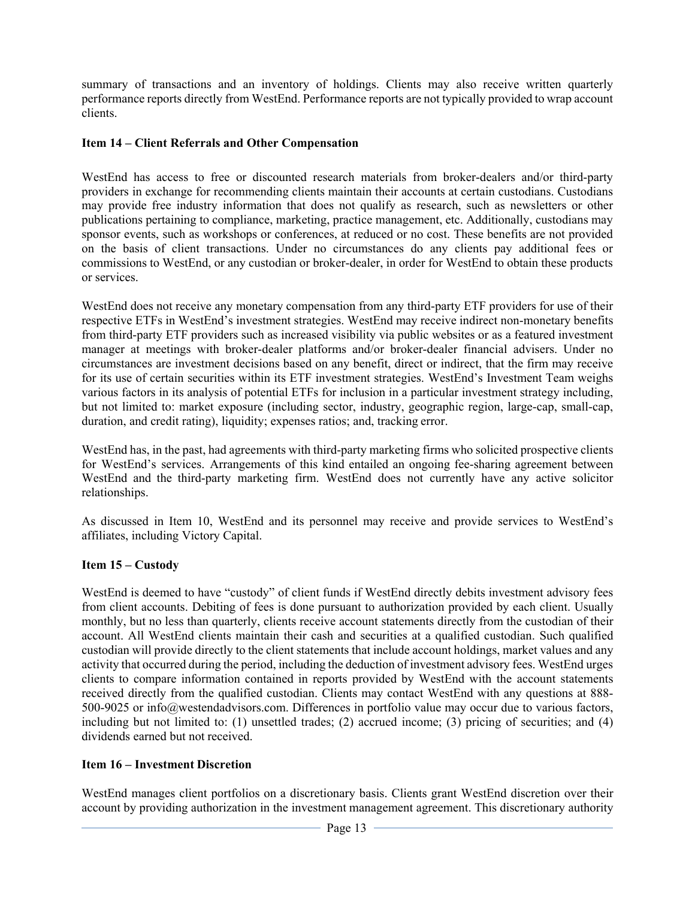summary of transactions and an inventory of holdings. Clients may also receive written quarterly performance reports directly from WestEnd. Performance reports are not typically provided to wrap account clients.

## **Item 14 – Client Referrals and Other Compensation**

WestEnd has access to free or discounted research materials from broker-dealers and/or third-party providers in exchange for recommending clients maintain their accounts at certain custodians. Custodians may provide free industry information that does not qualify as research, such as newsletters or other publications pertaining to compliance, marketing, practice management, etc. Additionally, custodians may sponsor events, such as workshops or conferences, at reduced or no cost. These benefits are not provided on the basis of client transactions. Under no circumstances do any clients pay additional fees or commissions to WestEnd, or any custodian or broker-dealer, in order for WestEnd to obtain these products or services.

WestEnd does not receive any monetary compensation from any third-party ETF providers for use of their respective ETFs in WestEnd's investment strategies. WestEnd may receive indirect non-monetary benefits from third-party ETF providers such as increased visibility via public websites or as a featured investment manager at meetings with broker-dealer platforms and/or broker-dealer financial advisers. Under no circumstances are investment decisions based on any benefit, direct or indirect, that the firm may receive for its use of certain securities within its ETF investment strategies. WestEnd's Investment Team weighs various factors in its analysis of potential ETFs for inclusion in a particular investment strategy including, but not limited to: market exposure (including sector, industry, geographic region, large-cap, small-cap, duration, and credit rating), liquidity; expenses ratios; and, tracking error.

WestEnd has, in the past, had agreements with third-party marketing firms who solicited prospective clients for WestEnd's services. Arrangements of this kind entailed an ongoing fee-sharing agreement between WestEnd and the third-party marketing firm. WestEnd does not currently have any active solicitor relationships.

As discussed in Item 10, WestEnd and its personnel may receive and provide services to WestEnd's affiliates, including Victory Capital.

## **Item 15 – Custody**

WestEnd is deemed to have "custody" of client funds if WestEnd directly debits investment advisory fees from client accounts. Debiting of fees is done pursuant to authorization provided by each client. Usually monthly, but no less than quarterly, clients receive account statements directly from the custodian of their account. All WestEnd clients maintain their cash and securities at a qualified custodian. Such qualified custodian will provide directly to the client statements that include account holdings, market values and any activity that occurred during the period, including the deduction of investment advisory fees. WestEnd urges clients to compare information contained in reports provided by WestEnd with the account statements received directly from the qualified custodian. Clients may contact WestEnd with any questions at 888- 500-9025 or info@westendadvisors.com. Differences in portfolio value may occur due to various factors, including but not limited to: (1) unsettled trades; (2) accrued income; (3) pricing of securities; and (4) dividends earned but not received.

# **Item 16 – Investment Discretion**

WestEnd manages client portfolios on a discretionary basis. Clients grant WestEnd discretion over their account by providing authorization in the investment management agreement. This discretionary authority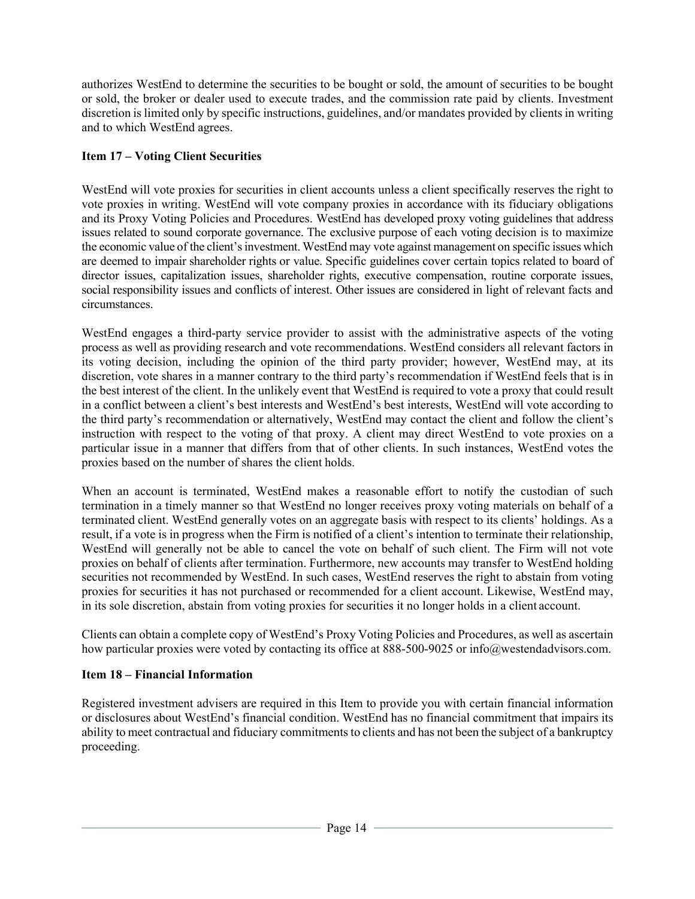authorizes WestEnd to determine the securities to be bought or sold, the amount of securities to be bought or sold, the broker or dealer used to execute trades, and the commission rate paid by clients. Investment discretion is limited only by specific instructions, guidelines, and/or mandates provided by clients in writing and to which WestEnd agrees.

# **Item 17 – Voting Client Securities**

WestEnd will vote proxies for securities in client accounts unless a client specifically reserves the right to vote proxies in writing. WestEnd will vote company proxies in accordance with its fiduciary obligations and its Proxy Voting Policies and Procedures. WestEnd has developed proxy voting guidelines that address issues related to sound corporate governance. The exclusive purpose of each voting decision is to maximize the economic value of the client's investment. WestEnd may vote against management on specific issues which are deemed to impair shareholder rights or value. Specific guidelines cover certain topics related to board of director issues, capitalization issues, shareholder rights, executive compensation, routine corporate issues, social responsibility issues and conflicts of interest. Other issues are considered in light of relevant facts and circumstances.

WestEnd engages a third-party service provider to assist with the administrative aspects of the voting process as well as providing research and vote recommendations. WestEnd considers all relevant factors in its voting decision, including the opinion of the third party provider; however, WestEnd may, at its discretion, vote shares in a manner contrary to the third party's recommendation if WestEnd feels that is in the best interest of the client. In the unlikely event that WestEnd is required to vote a proxy that could result in a conflict between a client's best interests and WestEnd's best interests, WestEnd will vote according to the third party's recommendation or alternatively, WestEnd may contact the client and follow the client's instruction with respect to the voting of that proxy. A client may direct WestEnd to vote proxies on a particular issue in a manner that differs from that of other clients. In such instances, WestEnd votes the proxies based on the number of shares the client holds.

When an account is terminated, WestEnd makes a reasonable effort to notify the custodian of such termination in a timely manner so that WestEnd no longer receives proxy voting materials on behalf of a terminated client. WestEnd generally votes on an aggregate basis with respect to its clients' holdings. As a result, if a vote is in progress when the Firm is notified of a client's intention to terminate their relationship, WestEnd will generally not be able to cancel the vote on behalf of such client. The Firm will not vote proxies on behalf of clients after termination. Furthermore, new accounts may transfer to WestEnd holding securities not recommended by WestEnd. In such cases, WestEnd reserves the right to abstain from voting proxies for securities it has not purchased or recommended for a client account. Likewise, WestEnd may, in its sole discretion, abstain from voting proxies for securities it no longer holds in a client account.

Clients can obtain a complete copy of WestEnd's Proxy Voting Policies and Procedures, as well as ascertain how particular proxies were voted by contacting its office at 888-500-9025 or info@westendadvisors.com.

# **Item 18 – Financial Information**

Registered investment advisers are required in this Item to provide you with certain financial information or disclosures about WestEnd's financial condition. WestEnd has no financial commitment that impairs its ability to meet contractual and fiduciary commitments to clients and has not been the subject of a bankruptcy proceeding.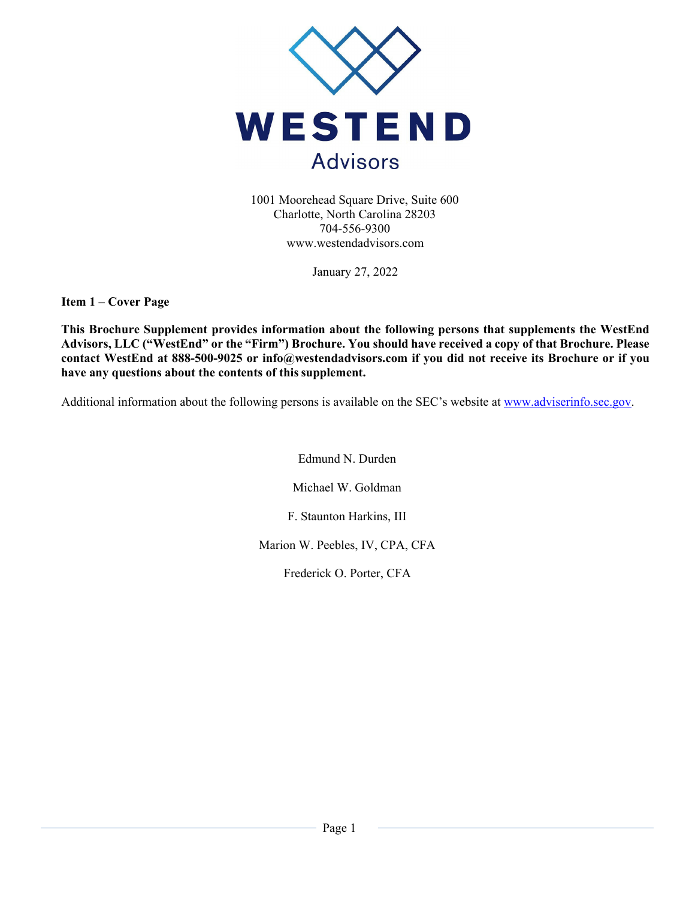

1001 Moorehead Square Drive, Suite 600 Charlotte, North Carolina 28203 704-556-9300 www.westendadvisors.com

January 27, 2022

**Item 1 – Cover Page** 

**This Brochure Supplement provides information about the following persons that supplements the WestEnd Advisors, LLC ("WestEnd" or the "Firm") Brochure. You should have received a copy of that Brochure. Please contact WestEnd at 888-500-9025 or info@westendadvisors.com if you did not receive its Brochure or if you have any questions about the contents of this supplement.** 

Additional information about the following persons is available on the SEC's website at www.adviserinfo.sec.gov.

Edmund N. Durden

Michael W. Goldman

F. Staunton Harkins, III

Marion W. Peebles, IV, CPA, CFA

Frederick O. Porter, CFA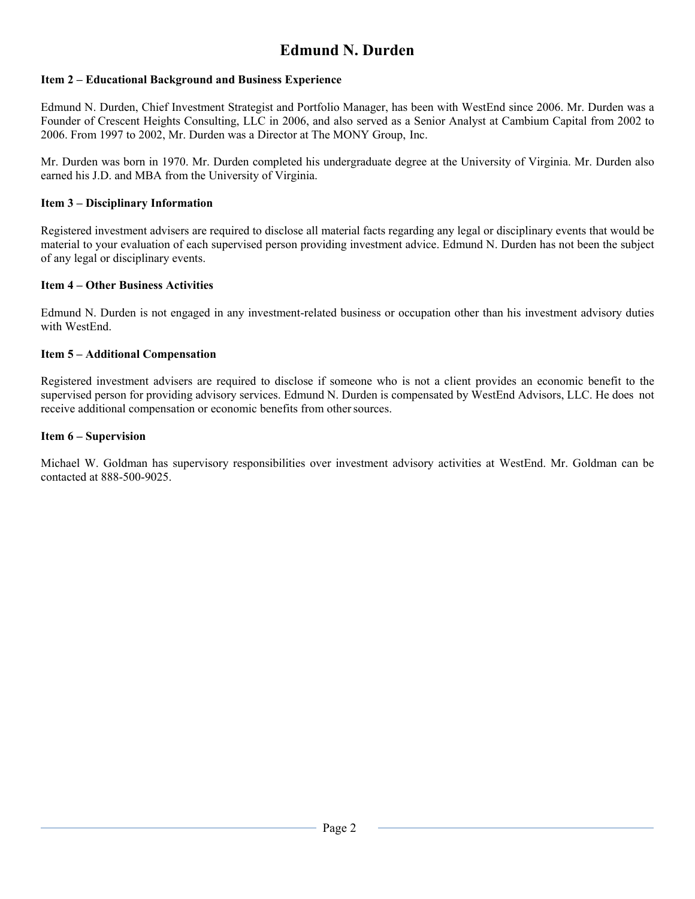# **Edmund N. Durden**

### **Item 2 – Educational Background and Business Experience**

Edmund N. Durden, Chief Investment Strategist and Portfolio Manager, has been with WestEnd since 2006. Mr. Durden was a Founder of Crescent Heights Consulting, LLC in 2006, and also served as a Senior Analyst at Cambium Capital from 2002 to 2006. From 1997 to 2002, Mr. Durden was a Director at The MONY Group, Inc.

Mr. Durden was born in 1970. Mr. Durden completed his undergraduate degree at the University of Virginia. Mr. Durden also earned his J.D. and MBA from the University of Virginia.

### **Item 3 – Disciplinary Information**

Registered investment advisers are required to disclose all material facts regarding any legal or disciplinary events that would be material to your evaluation of each supervised person providing investment advice. Edmund N. Durden has not been the subject of any legal or disciplinary events.

#### **Item 4 – Other Business Activities**

Edmund N. Durden is not engaged in any investment-related business or occupation other than his investment advisory duties with WestEnd.

#### **Item 5 – Additional Compensation**

Registered investment advisers are required to disclose if someone who is not a client provides an economic benefit to the supervised person for providing advisory services. Edmund N. Durden is compensated by WestEnd Advisors, LLC. He does not receive additional compensation or economic benefits from other sources.

#### **Item 6 – Supervision**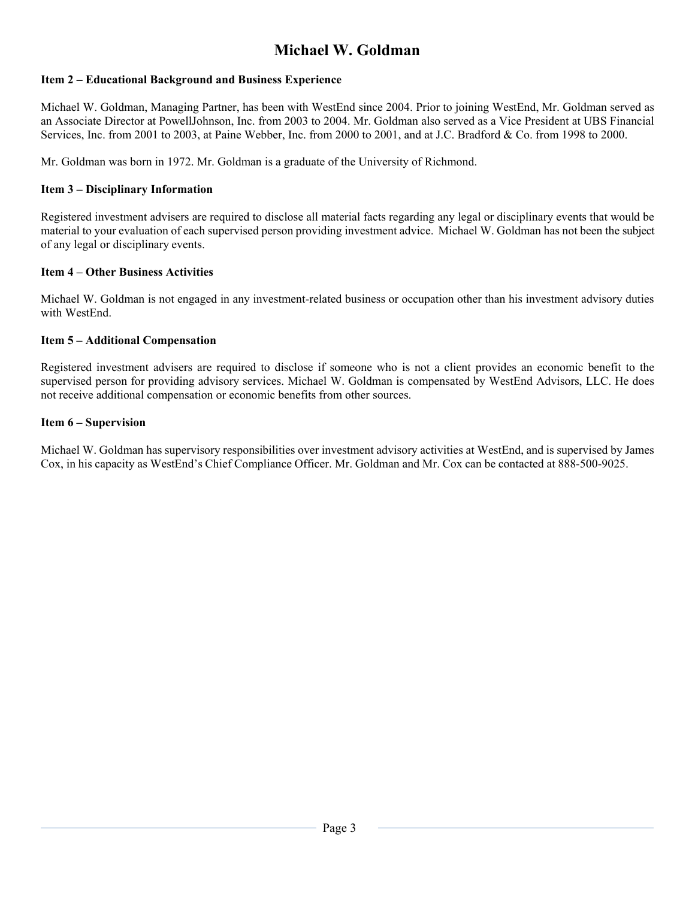# **Michael W. Goldman**

## **Item 2 – Educational Background and Business Experience**

Michael W. Goldman, Managing Partner, has been with WestEnd since 2004. Prior to joining WestEnd, Mr. Goldman served as an Associate Director at PowellJohnson, Inc. from 2003 to 2004. Mr. Goldman also served as a Vice President at UBS Financial Services, Inc. from 2001 to 2003, at Paine Webber, Inc. from 2000 to 2001, and at J.C. Bradford & Co. from 1998 to 2000.

Mr. Goldman was born in 1972. Mr. Goldman is a graduate of the University of Richmond.

### **Item 3 – Disciplinary Information**

Registered investment advisers are required to disclose all material facts regarding any legal or disciplinary events that would be material to your evaluation of each supervised person providing investment advice. Michael W. Goldman has not been the subject of any legal or disciplinary events.

### **Item 4 – Other Business Activities**

Michael W. Goldman is not engaged in any investment-related business or occupation other than his investment advisory duties with WestEnd.

#### **Item 5 – Additional Compensation**

Registered investment advisers are required to disclose if someone who is not a client provides an economic benefit to the supervised person for providing advisory services. Michael W. Goldman is compensated by WestEnd Advisors, LLC. He does not receive additional compensation or economic benefits from other sources.

### **Item 6 – Supervision**

Michael W. Goldman has supervisory responsibilities over investment advisory activities at WestEnd, and is supervised by James Cox, in his capacity as WestEnd's Chief Compliance Officer. Mr. Goldman and Mr. Cox can be contacted at 888-500-9025.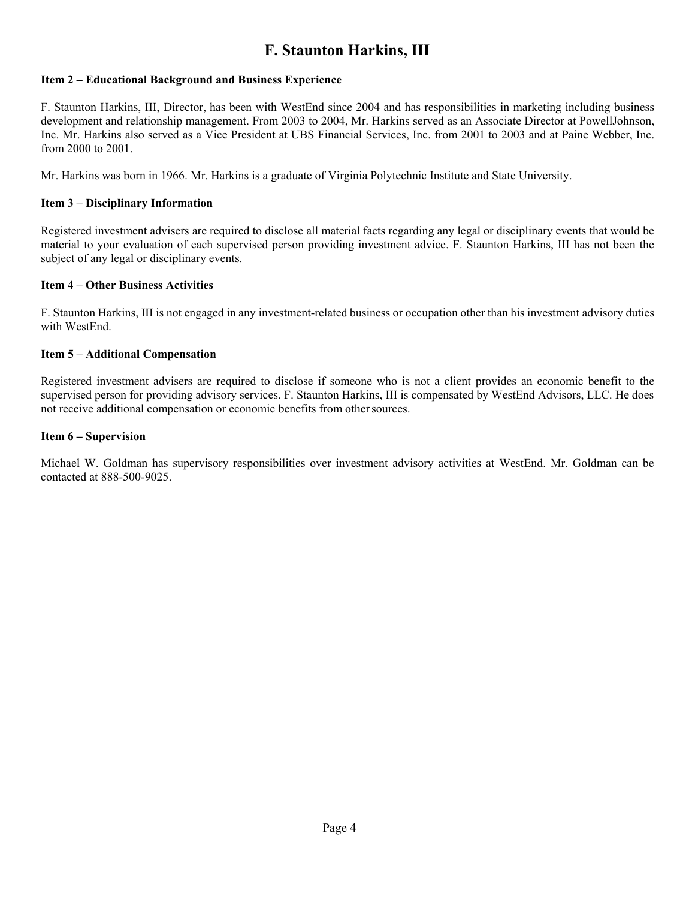# **F. Staunton Harkins, III**

### **Item 2 – Educational Background and Business Experience**

F. Staunton Harkins, III, Director, has been with WestEnd since 2004 and has responsibilities in marketing including business development and relationship management. From 2003 to 2004, Mr. Harkins served as an Associate Director at PowellJohnson, Inc. Mr. Harkins also served as a Vice President at UBS Financial Services, Inc. from 2001 to 2003 and at Paine Webber, Inc. from 2000 to 2001.

Mr. Harkins was born in 1966. Mr. Harkins is a graduate of Virginia Polytechnic Institute and State University.

### **Item 3 – Disciplinary Information**

Registered investment advisers are required to disclose all material facts regarding any legal or disciplinary events that would be material to your evaluation of each supervised person providing investment advice. F. Staunton Harkins, III has not been the subject of any legal or disciplinary events.

#### **Item 4 – Other Business Activities**

F. Staunton Harkins, III is not engaged in any investment-related business or occupation other than his investment advisory duties with WestEnd.

#### **Item 5 – Additional Compensation**

Registered investment advisers are required to disclose if someone who is not a client provides an economic benefit to the supervised person for providing advisory services. F. Staunton Harkins, III is compensated by WestEnd Advisors, LLC. He does not receive additional compensation or economic benefits from other sources.

#### **Item 6 – Supervision**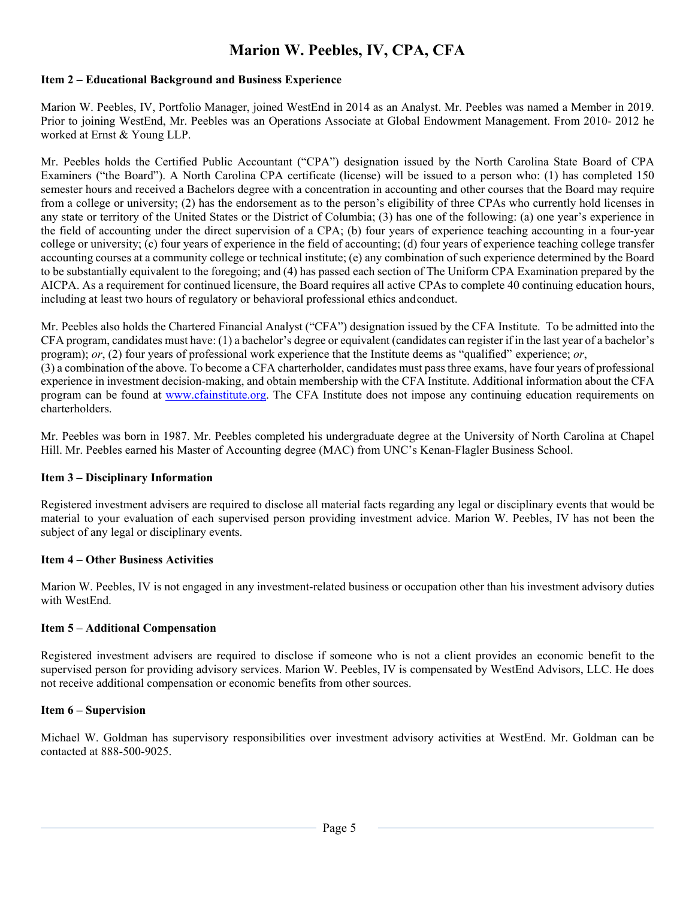# **Marion W. Peebles, IV, CPA, CFA**

### **Item 2 – Educational Background and Business Experience**

Marion W. Peebles, IV, Portfolio Manager, joined WestEnd in 2014 as an Analyst. Mr. Peebles was named a Member in 2019. Prior to joining WestEnd, Mr. Peebles was an Operations Associate at Global Endowment Management. From 2010- 2012 he worked at Ernst & Young LLP.

Mr. Peebles holds the Certified Public Accountant ("CPA") designation issued by the North Carolina State Board of CPA Examiners ("the Board"). A North Carolina CPA certificate (license) will be issued to a person who: (1) has completed 150 semester hours and received a Bachelors degree with a concentration in accounting and other courses that the Board may require from a college or university; (2) has the endorsement as to the person's eligibility of three CPAs who currently hold licenses in any state or territory of the United States or the District of Columbia; (3) has one of the following: (a) one year's experience in the field of accounting under the direct supervision of a CPA; (b) four years of experience teaching accounting in a four-year college or university; (c) four years of experience in the field of accounting; (d) four years of experience teaching college transfer accounting courses at a community college or technical institute; (e) any combination of such experience determined by the Board to be substantially equivalent to the foregoing; and (4) has passed each section of The Uniform CPA Examination prepared by the AICPA. As a requirement for continued licensure, the Board requires all active CPAs to complete 40 continuing education hours, including at least two hours of regulatory or behavioral professional ethics and conduct.

Mr. Peebles also holds the Chartered Financial Analyst ("CFA") designation issued by the CFA Institute. To be admitted into the CFA program, candidates must have: (1) a bachelor's degree or equivalent (candidates can register if in the last year of a bachelor's program); *or*, (2) four years of professional work experience that the Institute deems as "qualified" experience; *or*, (3) a combination of the above. To become a CFA charterholder, candidates must pass three exams, have four years of professional experience in investment decision-making, and obtain membership with the CFA Institute. Additional information about the CFA program can be found at www.cfainstitute.org. The CFA Institute does not impose any continuing education requirements on charterholders.

Mr. Peebles was born in 1987. Mr. Peebles completed his undergraduate degree at the University of North Carolina at Chapel Hill. Mr. Peebles earned his Master of Accounting degree (MAC) from UNC's Kenan-Flagler Business School.

#### **Item 3 – Disciplinary Information**

Registered investment advisers are required to disclose all material facts regarding any legal or disciplinary events that would be material to your evaluation of each supervised person providing investment advice. Marion W. Peebles, IV has not been the subject of any legal or disciplinary events.

#### **Item 4 – Other Business Activities**

Marion W. Peebles, IV is not engaged in any investment-related business or occupation other than his investment advisory duties with WestEnd.

#### **Item 5 – Additional Compensation**

Registered investment advisers are required to disclose if someone who is not a client provides an economic benefit to the supervised person for providing advisory services. Marion W. Peebles, IV is compensated by WestEnd Advisors, LLC. He does not receive additional compensation or economic benefits from other sources.

#### **Item 6 – Supervision**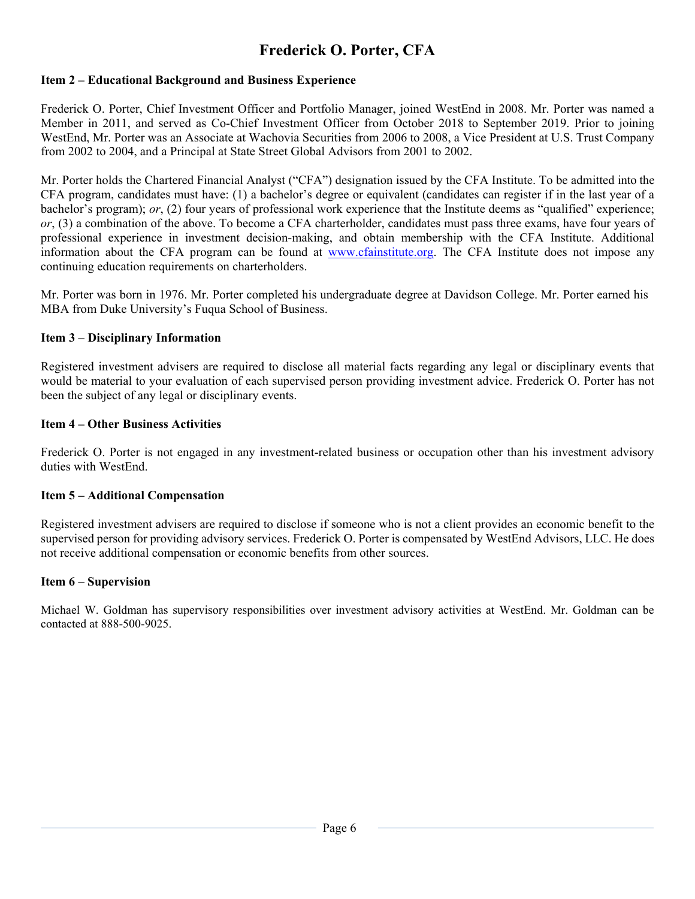# **Frederick O. Porter, CFA**

## **Item 2 – Educational Background and Business Experience**

Frederick O. Porter, Chief Investment Officer and Portfolio Manager, joined WestEnd in 2008. Mr. Porter was named a Member in 2011, and served as Co-Chief Investment Officer from October 2018 to September 2019. Prior to joining WestEnd, Mr. Porter was an Associate at Wachovia Securities from 2006 to 2008, a Vice President at U.S. Trust Company from 2002 to 2004, and a Principal at State Street Global Advisors from 2001 to 2002.

Mr. Porter holds the Chartered Financial Analyst ("CFA") designation issued by the CFA Institute. To be admitted into the CFA program, candidates must have: (1) a bachelor's degree or equivalent (candidates can register if in the last year of a bachelor's program); *or*, (2) four years of professional work experience that the Institute deems as "qualified" experience; *or*, (3) a combination of the above. To become a CFA charterholder, candidates must pass three exams, have four years of professional experience in investment decision-making, and obtain membership with the CFA Institute. Additional information about the CFA program can be found at www.cfainstitute.org. The CFA Institute does not impose any continuing education requirements on charterholders.

Mr. Porter was born in 1976. Mr. Porter completed his undergraduate degree at Davidson College. Mr. Porter earned his MBA from Duke University's Fuqua School of Business.

## **Item 3 – Disciplinary Information**

Registered investment advisers are required to disclose all material facts regarding any legal or disciplinary events that would be material to your evaluation of each supervised person providing investment advice. Frederick O. Porter has not been the subject of any legal or disciplinary events.

## **Item 4 – Other Business Activities**

Frederick O. Porter is not engaged in any investment-related business or occupation other than his investment advisory duties with WestEnd.

## **Item 5 – Additional Compensation**

Registered investment advisers are required to disclose if someone who is not a client provides an economic benefit to the supervised person for providing advisory services. Frederick O. Porter is compensated by WestEnd Advisors, LLC. He does not receive additional compensation or economic benefits from other sources.

## **Item 6 – Supervision**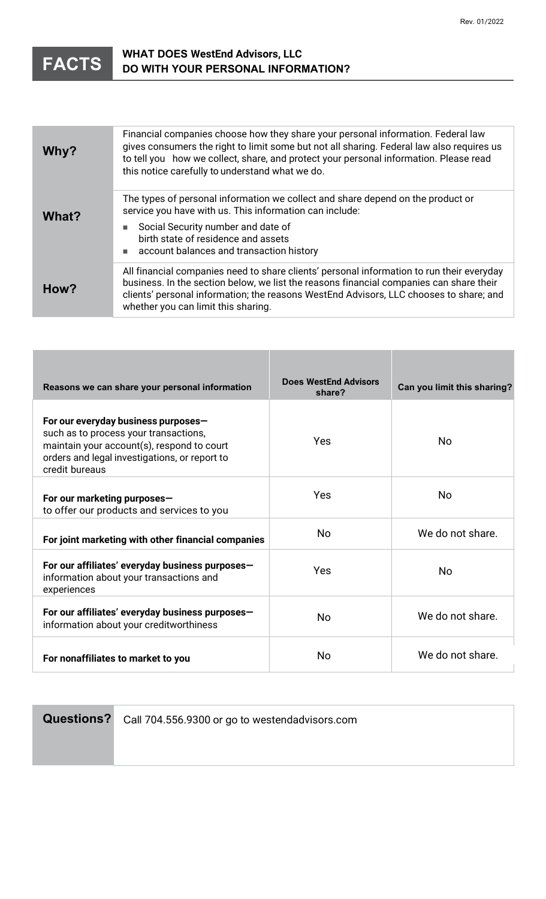

# **WHAT DOES WestEnd Advisors, LLC DO WITH YOUR PERSONAL INFORMATION?**

| Why?  | Financial companies choose how they share your personal information. Federal law<br>gives consumers the right to limit some but not all sharing. Federal law also requires us<br>to tell you how we collect, share, and protect your personal information. Please read<br>this notice carefully to understand what we do. |
|-------|---------------------------------------------------------------------------------------------------------------------------------------------------------------------------------------------------------------------------------------------------------------------------------------------------------------------------|
| What? | The types of personal information we collect and share depend on the product or<br>service you have with us. This information can include:<br>Social Security number and date of<br>birth state of residence and assets<br>account balances and transaction history                                                       |
| How?  | All financial companies need to share clients' personal information to run their everyday<br>business. In the section below, we list the reasons financial companies can share their<br>clients' personal information; the reasons WestEnd Advisors, LLC chooses to share; and<br>whether you can limit this sharing.     |

| Reasons we can share your personal information                                                                                                                                                | <b>Does WestEnd Advisors</b><br>share? | Can you limit this sharing? |
|-----------------------------------------------------------------------------------------------------------------------------------------------------------------------------------------------|----------------------------------------|-----------------------------|
| For our everyday business purposes-<br>such as to process your transactions,<br>maintain your account(s), respond to court<br>orders and legal investigations, or report to<br>credit bureaus | Yes                                    | <b>No</b>                   |
| For our marketing purposes-<br>to offer our products and services to you                                                                                                                      | Yes                                    | <b>No</b>                   |
| For joint marketing with other financial companies                                                                                                                                            | <b>No</b>                              | We do not share.            |
| For our affiliates' everyday business purposes-<br>information about your transactions and<br>experiences                                                                                     | Yes                                    | <b>No</b>                   |
| For our affiliates' everyday business purposes-<br>information about your creditworthiness                                                                                                    | <b>No</b>                              | We do not share.            |
| For nonaffiliates to market to you                                                                                                                                                            | <b>No</b>                              | We do not share.            |

**Questions?** Call 704.556.9300 or go to westendadvisors.com